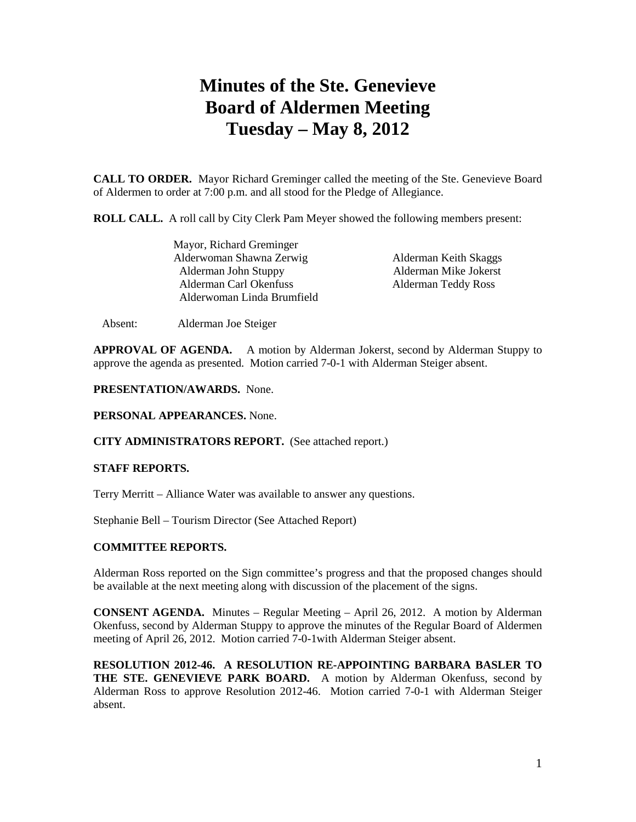# **Minutes of the Ste. Genevieve Board of Aldermen Meeting Tuesday – May 8, 2012**

**CALL TO ORDER.** Mayor Richard Greminger called the meeting of the Ste. Genevieve Board of Aldermen to order at 7:00 p.m. and all stood for the Pledge of Allegiance.

**ROLL CALL.** A roll call by City Clerk Pam Meyer showed the following members present:

| Mayor, Richard Greminger   |  |
|----------------------------|--|
| Alderwoman Shawna Zerwig   |  |
| Alderman John Stuppy       |  |
| Alderman Carl Okenfuss     |  |
| Alderwoman Linda Brumfield |  |

Alderman Keith Skaggs Alderman Mike Jokerst Alderman Teddy Ross

Absent: Alderman Joe Steiger

**APPROVAL OF AGENDA.** A motion by Alderman Jokerst, second by Alderman Stuppy to approve the agenda as presented. Motion carried 7-0-1 with Alderman Steiger absent.

**PRESENTATION/AWARDS.** None.

## **PERSONAL APPEARANCES.** None.

### **CITY ADMINISTRATORS REPORT.** (See attached report.)

### **STAFF REPORTS.**

Terry Merritt – Alliance Water was available to answer any questions.

Stephanie Bell – Tourism Director (See Attached Report)

## **COMMITTEE REPORTS.**

Alderman Ross reported on the Sign committee's progress and that the proposed changes should be available at the next meeting along with discussion of the placement of the signs.

**CONSENT AGENDA.** Minutes – Regular Meeting – April 26, 2012. A motion by Alderman Okenfuss, second by Alderman Stuppy to approve the minutes of the Regular Board of Aldermen meeting of April 26, 2012. Motion carried 7-0-1with Alderman Steiger absent.

**RESOLUTION 2012-46. A RESOLUTION RE-APPOINTING BARBARA BASLER TO THE STE. GENEVIEVE PARK BOARD.** A motion by Alderman Okenfuss, second by Alderman Ross to approve Resolution 2012-46. Motion carried 7-0-1 with Alderman Steiger absent.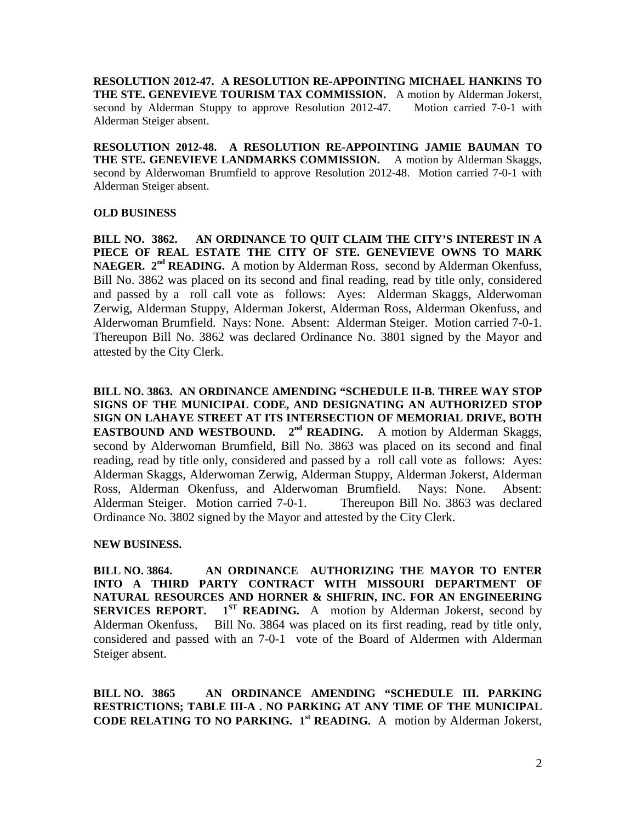**RESOLUTION 2012-47. A RESOLUTION RE-APPOINTING MICHAEL HANKINS TO THE STE. GENEVIEVE TOURISM TAX COMMISSION.** A motion by Alderman Jokerst, second by Alderman Stuppy to approve Resolution 2012-47. Motion carried 7-0-1 with Alderman Steiger absent.

**RESOLUTION 2012-48. A RESOLUTION RE-APPOINTING JAMIE BAUMAN TO THE STE. GENEVIEVE LANDMARKS COMMISSION.** A motion by Alderman Skaggs, second by Alderwoman Brumfield to approve Resolution 2012-48. Motion carried 7-0-1 with Alderman Steiger absent.

# **OLD BUSINESS**

**BILL NO. 3862. AN ORDINANCE TO QUIT CLAIM THE CITY'S INTEREST IN A PIECE OF REAL ESTATE THE CITY OF STE. GENEVIEVE OWNS TO MARK NAEGER. 2nd READING.** A motion by Alderman Ross, second by Alderman Okenfuss, Bill No. 3862 was placed on its second and final reading, read by title only, considered and passed by a roll call vote as follows: Ayes: Alderman Skaggs, Alderwoman Zerwig, Alderman Stuppy, Alderman Jokerst, Alderman Ross, Alderman Okenfuss, and Alderwoman Brumfield. Nays: None. Absent: Alderman Steiger. Motion carried 7-0-1. Thereupon Bill No. 3862 was declared Ordinance No. 3801 signed by the Mayor and attested by the City Clerk.

**BILL NO. 3863. AN ORDINANCE AMENDING "SCHEDULE II-B. THREE WAY STOP SIGNS OF THE MUNICIPAL CODE, AND DESIGNATING AN AUTHORIZED STOP SIGN ON LAHAYE STREET AT ITS INTERSECTION OF MEMORIAL DRIVE, BOTH EASTBOUND AND WESTBOUND.** 2<sup>nd</sup> **READING.** A motion by Alderman Skaggs, second by Alderwoman Brumfield, Bill No. 3863 was placed on its second and final reading, read by title only, considered and passed by a roll call vote as follows: Ayes: Alderman Skaggs, Alderwoman Zerwig, Alderman Stuppy, Alderman Jokerst, Alderman Ross, Alderman Okenfuss, and Alderwoman Brumfield. Nays: None. Absent: Alderman Steiger. Motion carried 7-0-1. Thereupon Bill No. 3863 was declared Ordinance No. 3802 signed by the Mayor and attested by the City Clerk.

# **NEW BUSINESS.**

**BILL NO. 3864. AN ORDINANCE AUTHORIZING THE MAYOR TO ENTER INTO A THIRD PARTY CONTRACT WITH MISSOURI DEPARTMENT OF NATURAL RESOURCES AND HORNER & SHIFRIN, INC. FOR AN ENGINEERING SERVICES REPORT. 1ST READING.** A motion by Alderman Jokerst, second by Alderman Okenfuss, Bill No. 3864 was placed on its first reading, read by title only, considered and passed with an 7-0-1 vote of the Board of Aldermen with Alderman Steiger absent.

**BILL NO. 3865 AN ORDINANCE AMENDING "SCHEDULE III. PARKING RESTRICTIONS; TABLE III-A . NO PARKING AT ANY TIME OF THE MUNICIPAL CODE RELATING TO NO PARKING. 1st READING.** A motion by Alderman Jokerst,